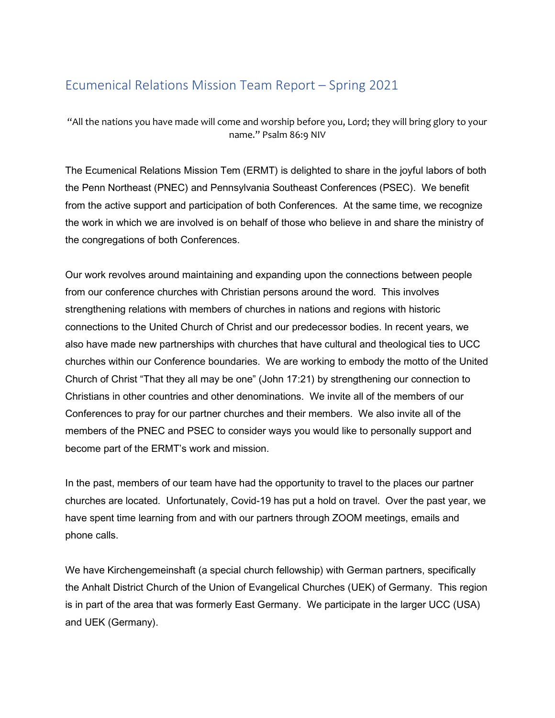## Ecumenical Relations Mission Team Report – Spring 2021

"All the nations you have made will come and worship before you, Lord; they will bring glory to your name." Psalm 86:9 NIV

The Ecumenical Relations Mission Tem (ERMT) is delighted to share in the joyful labors of both the Penn Northeast (PNEC) and Pennsylvania Southeast Conferences (PSEC). We benefit from the active support and participation of both Conferences. At the same time, we recognize the work in which we are involved is on behalf of those who believe in and share the ministry of the congregations of both Conferences.

Our work revolves around maintaining and expanding upon the connections between people from our conference churches with Christian persons around the word. This involves strengthening relations with members of churches in nations and regions with historic connections to the United Church of Christ and our predecessor bodies. In recent years, we also have made new partnerships with churches that have cultural and theological ties to UCC churches within our Conference boundaries. We are working to embody the motto of the United Church of Christ "That they all may be one" (John 17:21) by strengthening our connection to Christians in other countries and other denominations. We invite all of the members of our Conferences to pray for our partner churches and their members. We also invite all of the members of the PNEC and PSEC to consider ways you would like to personally support and become part of the ERMT's work and mission.

In the past, members of our team have had the opportunity to travel to the places our partner churches are located. Unfortunately, Covid-19 has put a hold on travel. Over the past year, we have spent time learning from and with our partners through ZOOM meetings, emails and phone calls.

We have Kirchengemeinshaft (a special church fellowship) with German partners, specifically the Anhalt District Church of the Union of Evangelical Churches (UEK) of Germany. This region is in part of the area that was formerly East Germany. We participate in the larger UCC (USA) and UEK (Germany).